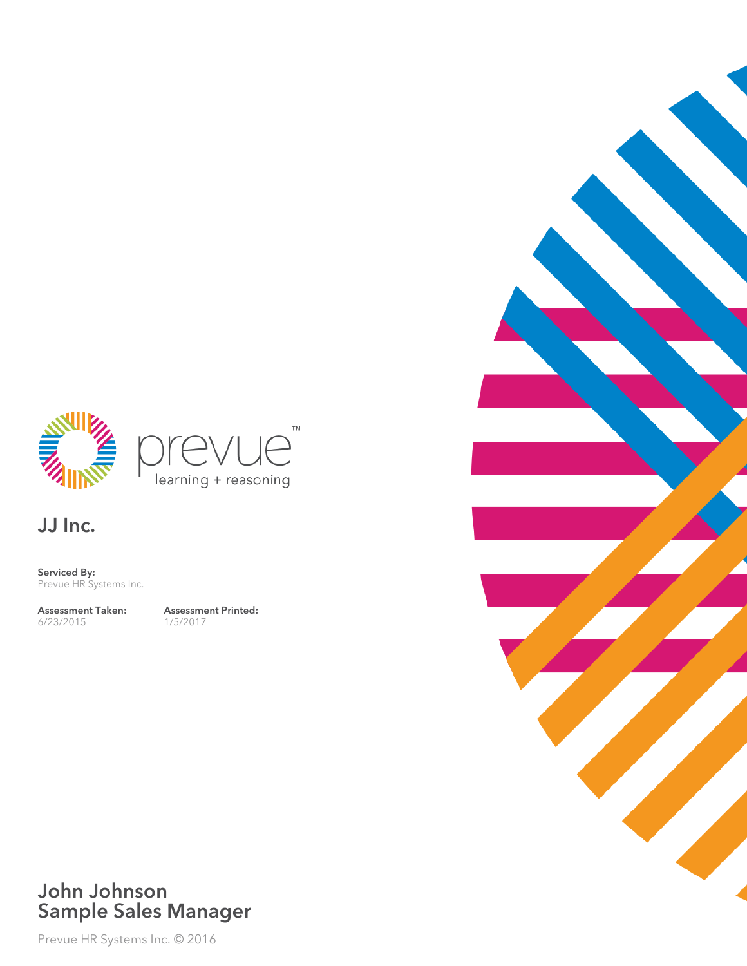



JJ Inc.

Serviced By: Prevue HR Systems Inc.

Assessment Taken: 6/23/2015

Assessment Printed: 1/5/2017



### John Johnson Sample Sales Manager

Prevue HR Systems Inc. © 2016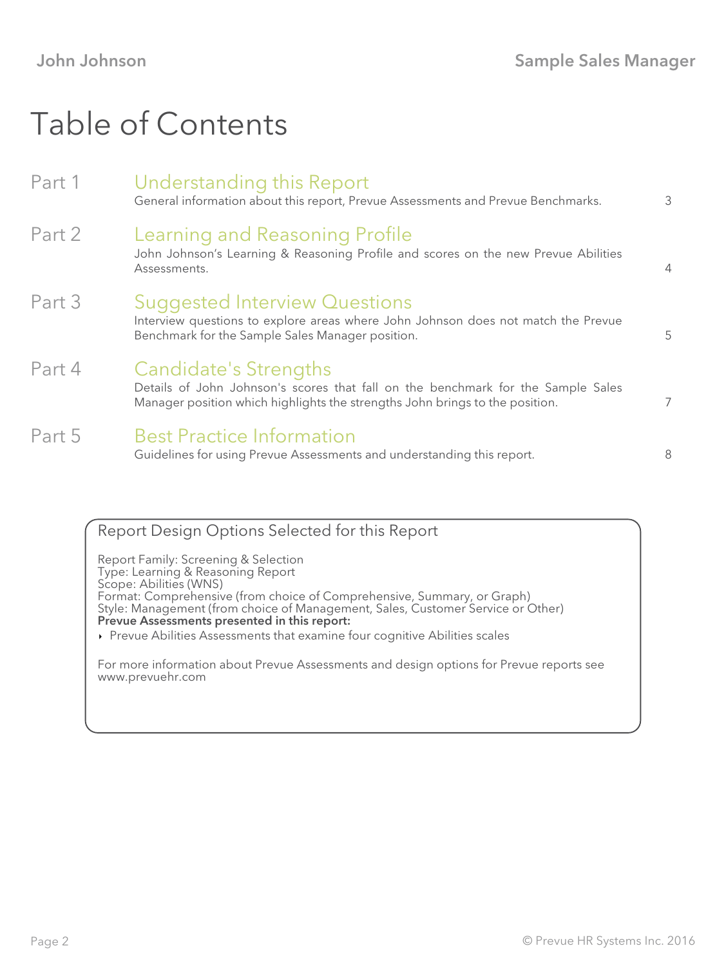## Table of Contents

| Part 1 | Understanding this Report<br>General information about this report, Prevue Assessments and Prevue Benchmarks.                                                                                    | 3              |
|--------|--------------------------------------------------------------------------------------------------------------------------------------------------------------------------------------------------|----------------|
| Part 2 | Learning and Reasoning Profile<br>John Johnson's Learning & Reasoning Profile and scores on the new Prevue Abilities<br>Assessments.                                                             | $\overline{4}$ |
| Part 3 | <b>Suggested Interview Questions</b><br>Interview questions to explore areas where John Johnson does not match the Prevue<br>Benchmark for the Sample Sales Manager position.                    | 5              |
| Part 4 | <b>Candidate's Strengths</b><br>Details of John Johnson's scores that fall on the benchmark for the Sample Sales<br>Manager position which highlights the strengths John brings to the position. | 7              |
| Part 5 | <b>Best Practice Information</b><br>Guidelines for using Prevue Assessments and understanding this report.                                                                                       | 8              |
|        |                                                                                                                                                                                                  |                |

Report Design Options Selected for this Report Report Family: Screening & Selection Type: Learning & Reasoning Report Scope: Abilities (WNS) Format: Comprehensive (from choice of Comprehensive, Summary, or Graph) Style: Management (from choice of Management, Sales, Customer Service or Other) Prevue Assessments presented in this report: Prevue Abilities Assessments that examine four cognitive Abilities scales

For more information about Prevue Assessments and design options for Prevue reports see www.prevuehr.com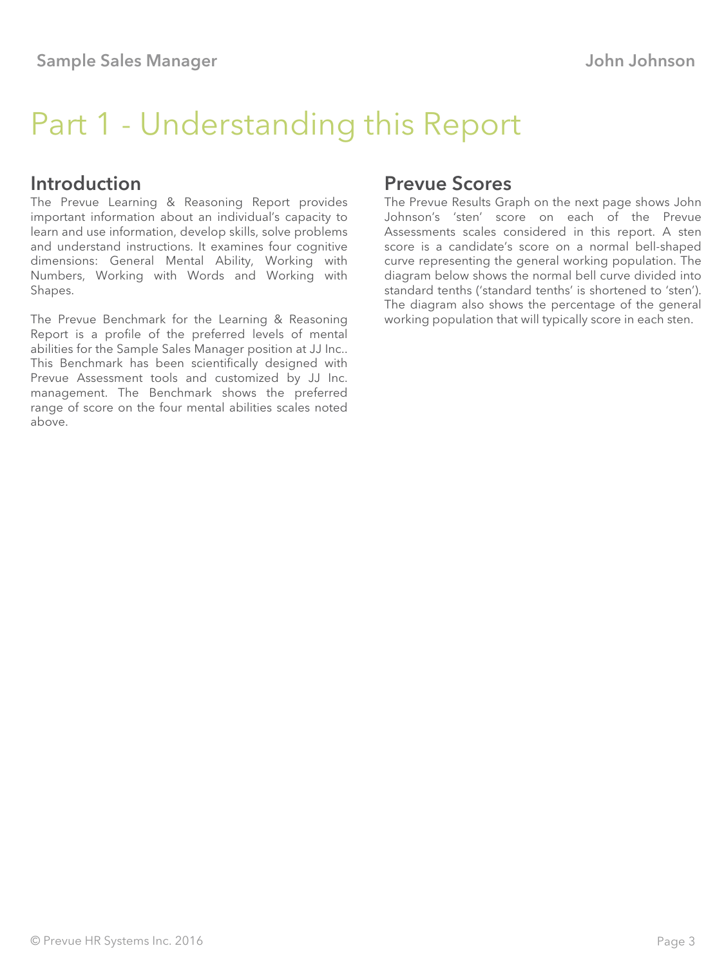## Part 1 - Understanding this Report

#### Introduction

The Prevue Learning & Reasoning Report provides important information about an individual's capacity to learn and use information, develop skills, solve problems and understand instructions. It examines four cognitive dimensions: General Mental Ability, Working with Numbers, Working with Words and Working with Shapes.

The Prevue Benchmark for the Learning & Reasoning Report is a profile of the preferred levels of mental abilities for the Sample Sales Manager position at JJ Inc.. This Benchmark has been scientifically designed with Prevue Assessment tools and customized by JJ Inc. management. The Benchmark shows the preferred range of score on the four mental abilities scales noted above.

#### Prevue Scores

The Prevue Results Graph on the next page shows John Johnson's 'sten' score on each of the Prevue Assessments scales considered in this report. A sten score is a candidate's score on a normal bell-shaped curve representing the general working population. The diagram below shows the normal bell curve divided into standard tenths ('standard tenths' is shortened to 'sten'). The diagram also shows the percentage of the general working population that will typically score in each sten.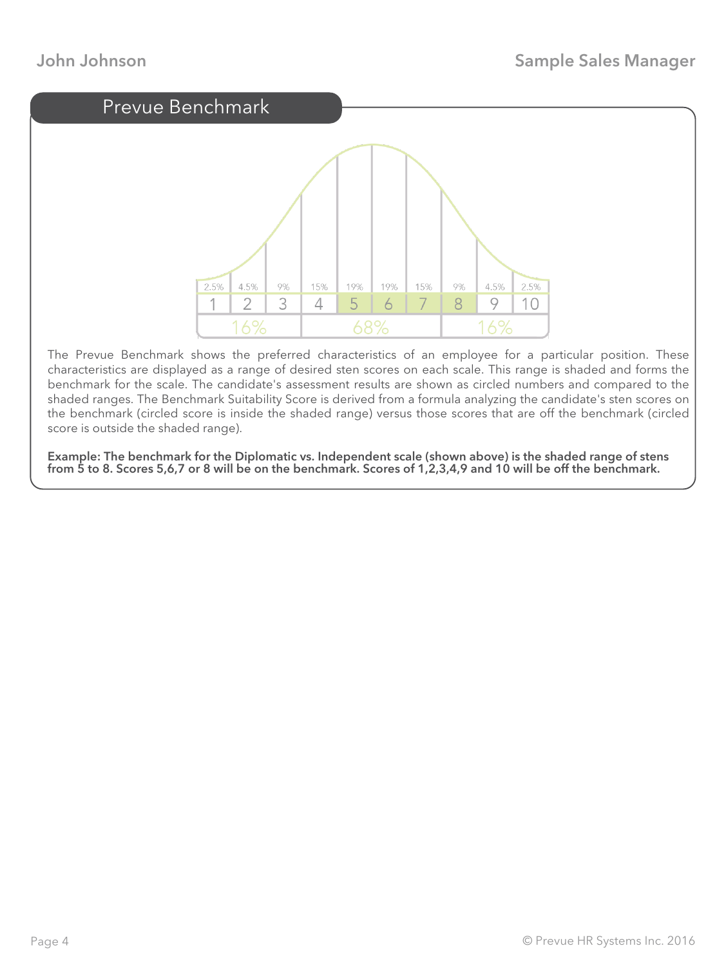

The Prevue Benchmark shows the preferred characteristics of an employee for a particular position. These characteristics are displayed as a range of desired sten scores on each scale. This range is shaded and forms the benchmark for the scale. The candidate's assessment results are shown as circled numbers and compared to the shaded ranges. The Benchmark Suitability Score is derived from a formula analyzing the candidate's sten scores on the benchmark (circled score is inside the shaded range) versus those scores that are off the benchmark (circled score is outside the shaded range).

Example: The benchmark for the Diplomatic vs. Independent scale (shown above) is the shaded range of stens from 5 to 8. Scores 5,6,7 or 8 will be on the benchmark. Scores of 1,2,3,4,9 and 10 will be off the benchmark.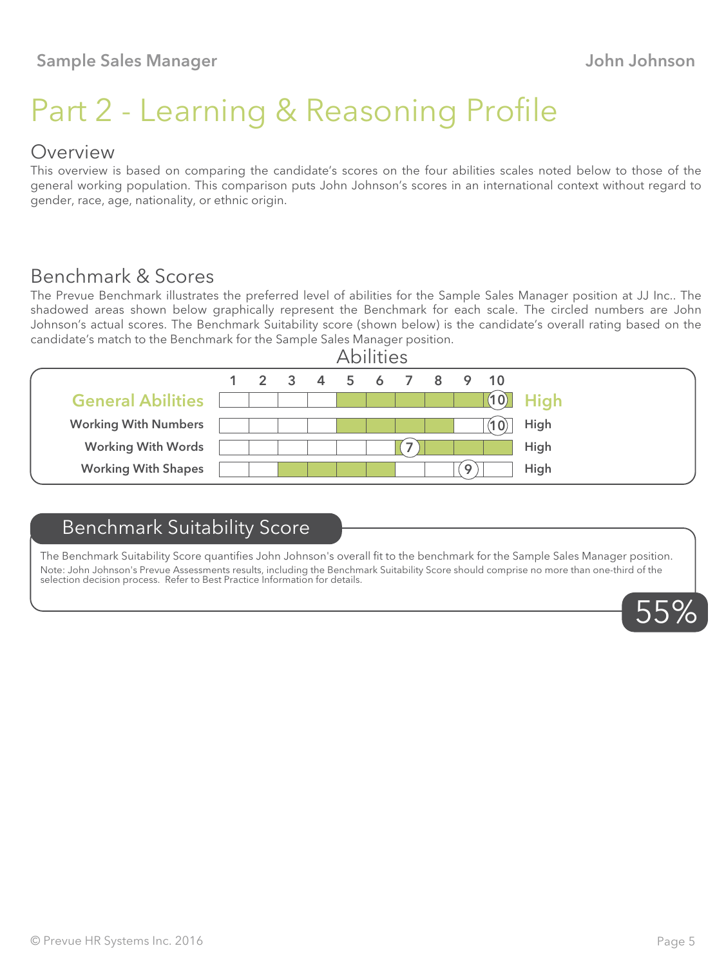# Part 2 - Learning & Reasoning Profile

#### Overview

This overview is based on comparing the candidate's scores on the four abilities scales noted below to those of the general working population. This comparison puts John Johnson's scores in an international context without regard to gender, race, age, nationality, or ethnic origin.

### Benchmark & Scores

The Prevue Benchmark illustrates the preferred level of abilities for the Sample Sales Manager position at JJ Inc.. The shadowed areas shown below graphically represent the Benchmark for each scale. The circled numbers are John Johnson's actual scores. The Benchmark Suitability score (shown below) is the candidate's overall rating based on the candidate's match to the Benchmark for the Sample Sales Manager position.



### Benchmark Suitability Score

The Benchmark Suitability Score quantifies John Johnson's overall fit to the benchmark for the Sample Sales Manager position. Note: John Johnson's Prevue Assessments results, including the Benchmark Suitability Score should comprise no more than one-third of the selection decision process. Refer to Best Practice Information for details.

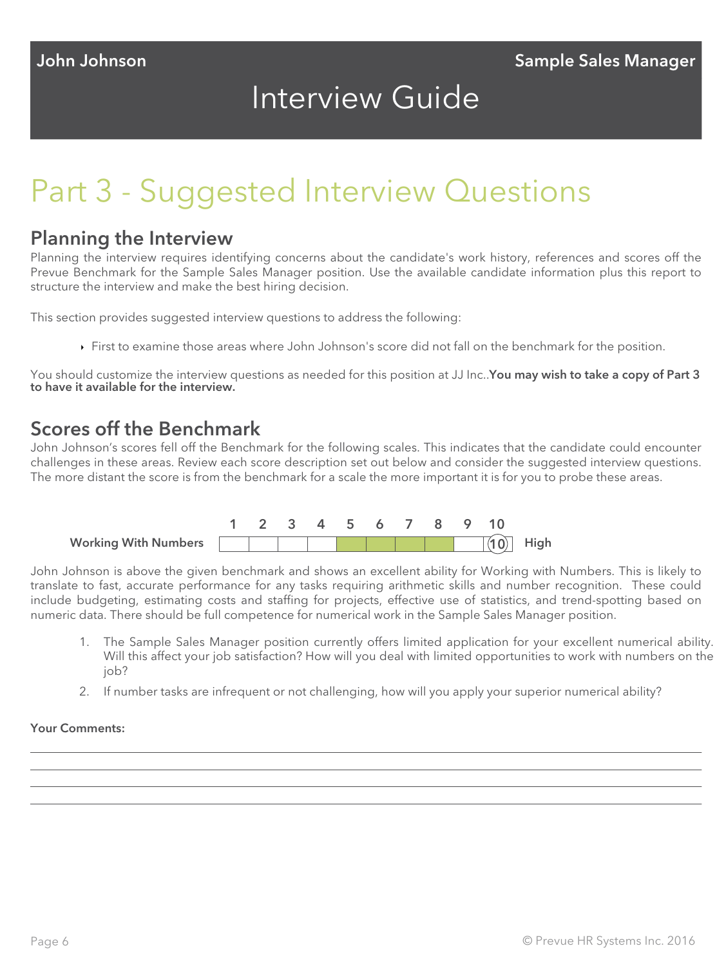### Interview Guide

### Part 3 - Suggested Interview Questions

#### Planning the Interview

Planning the interview requires identifying concerns about the candidate's work history, references and scores off the Prevue Benchmark for the Sample Sales Manager position. Use the available candidate information plus this report to structure the interview and make the best hiring decision.

This section provides suggested interview questions to address the following:

First to examine those areas where John Johnson's score did not fall on the benchmark for the position.

You should customize the interview questions as needed for this position at JJ Inc..You may wish to take a copy of Part 3 to have it available for the interview.

### Scores off the Benchmark

John Johnson's scores fell off the Benchmark for the following scales. This indicates that the candidate could encounter challenges in these areas. Review each score description set out below and consider the suggested interview questions. The more distant the score is from the benchmark for a scale the more important it is for you to probe these areas.



John Johnson is above the given benchmark and shows an excellent ability for Working with Numbers. This is likely to translate to fast, accurate performance for any tasks requiring arithmetic skills and number recognition. These could include budgeting, estimating costs and staffing for projects, effective use of statistics, and trend-spotting based on numeric data. There should be full competence for numerical work in the Sample Sales Manager position.

- 1. The Sample Sales Manager position currently offers limited application for your excellent numerical ability. Will this affect your job satisfaction? How will you deal with limited opportunities to work with numbers on the job?
- 2. If number tasks are infrequent or not challenging, how will you apply your superior numerical ability?

#### Your Comments: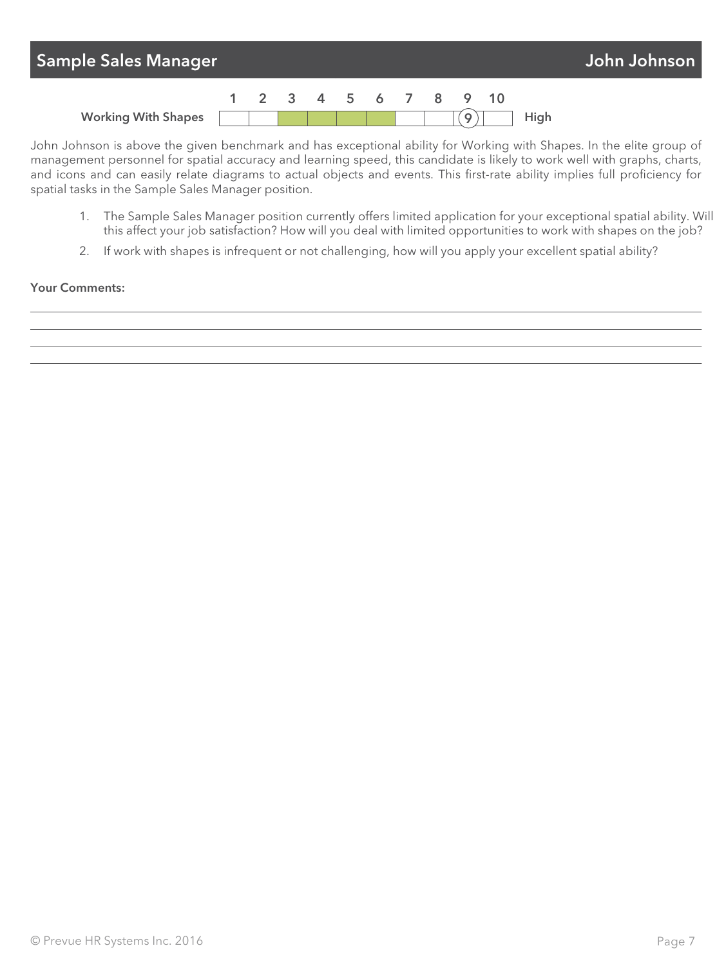| John Johnson<br><b>Sample Sales Manager</b> |  |  |  |  |  |  |  |                      |  |  |      |  |
|---------------------------------------------|--|--|--|--|--|--|--|----------------------|--|--|------|--|
|                                             |  |  |  |  |  |  |  | 1 2 3 4 5 6 7 8 9 10 |  |  |      |  |
| <b>Working With Shapes</b>                  |  |  |  |  |  |  |  |                      |  |  | High |  |

John Johnson is above the given benchmark and has exceptional ability for Working with Shapes. In the elite group of management personnel for spatial accuracy and learning speed, this candidate is likely to work well with graphs, charts, and icons and can easily relate diagrams to actual objects and events. This first-rate ability implies full proficiency for spatial tasks in the Sample Sales Manager position.

- 1. The Sample Sales Manager position currently offers limited application for your exceptional spatial ability. Will this affect your job satisfaction? How will you deal with limited opportunities to work with shapes on the job?
- 2. If work with shapes is infrequent or not challenging, how will you apply your excellent spatial ability?

#### Your Comments: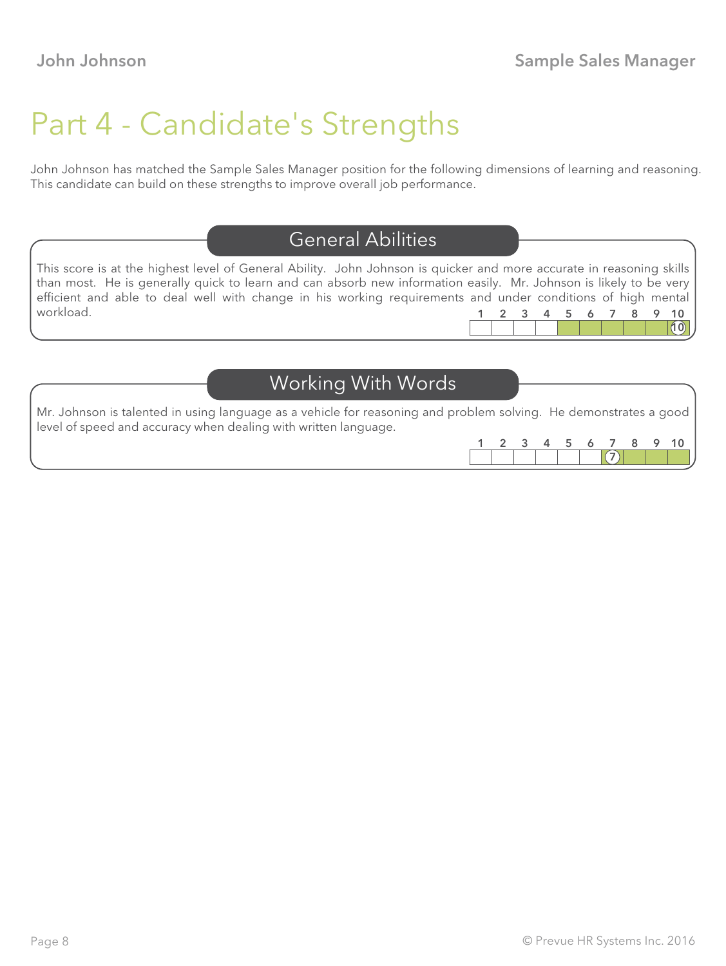### Part 4 - Candidate's Strengths

John Johnson has matched the Sample Sales Manager position for the following dimensions of learning and reasoning. This candidate can build on these strengths to improve overall job performance.

### General Abilities

This score is at the highest level of General Ability. John Johnson is quicker and more accurate in reasoning skills than most. He is generally quick to learn and can absorb new information easily. Mr. Johnson is likely to be very efficient and able to deal well with change in his working requirements and under conditions of high mental workload.  $(10)$ 1 2 3 4 5 6 7 8 9 10

### Working With Words

Mr. Johnson is talented in using language as a vehicle for reasoning and problem solving. He demonstrates a good level of speed and accuracy when dealing with written language.

| $\sim$ | - 2 | $\sim$ 5 |  | u. |  |
|--------|-----|----------|--|----|--|
|        |     |          |  |    |  |